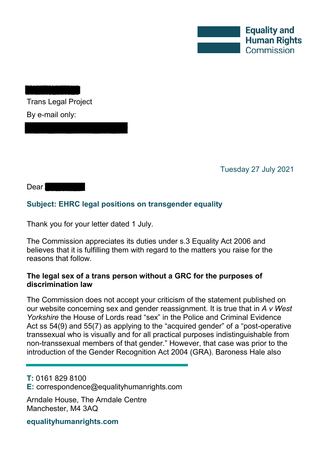Trans Legal Project By e-mail only:

Tuesday 27 July 2021

Dear<sup>1</sup>

## **Subject: EHRC legal positions on transgender equality**

Thank you for your letter dated 1 July.

The Commission appreciates its duties under s.3 Equality Act 2006 and believes that it is fulfilling them with regard to the matters you raise for the reasons that follow.

## **The legal sex of a trans person without a GRC for the purposes of discrimination law**

The Commission does not accept your criticism of the statement published on our website concerning sex and gender reassignment. It is true that in *A v West Yorkshire* the House of Lords read "sex" in the Police and Criminal Evidence Act ss  $54(9)$  and  $55(7)$  as applying to the "acquired gender" of a "post-operative transsexual who is visually and for all practical purposes indistinguishable from non-transsexual members of that gender." However, that case was prior to the introduction of the Gender Recognition Act 2004 (GRA). Baroness Hale also

**T:** 0161 829 8100

**E:** correspondence@equalityhumanrights.com

Arndale House, The Arndale Centre Manchester, M4 3AQ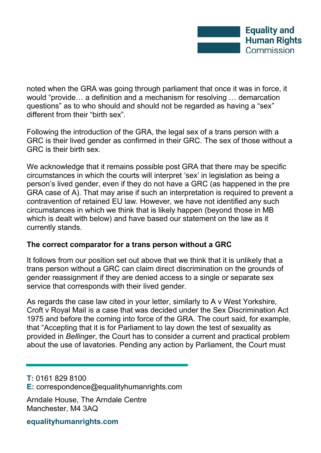noted when the GRA was going through parliament that once it was in force, it would "provide... a definition and a mechanism for resolving ... demarcation questions" as to who should and should not be regarded as having a "sex" different from their "birth sex".

Following the introduction of the GRA, the legal sex of a trans person with a GRC is their lived gender as confirmed in their GRC. The sex of those without a GRC is their birth sex.

We acknowledge that it remains possible post GRA that there may be specific circumstances in which the courts will interpret 'sex' in legislation as being a person's lived gender, even if they do not have a GRC (as happened in the pre GRA case of A). That may arise if such an interpretation is required to prevent a contravention of retained EU law. However, we have not identified any such circumstances in which we think that is likely happen (beyond those in MB which is dealt with below) and have based our statement on the law as it currently stands.

## **The correct comparator for a trans person without a GRC**

It follows from our position set out above that we think that it is unlikely that a trans person without a GRC can claim direct discrimination on the grounds of gender reassignment if they are denied access to a single or separate sex service that corresponds with their lived gender.

As regards the case law cited in your letter, similarly to A v West Yorkshire, Croft v Royal Mail is a case that was decided under the Sex Discrimination Act 1975 and before the coming into force of the GRA. The court said, for example, that "Accepting that it is for Parliament to lay down the test of sexuality as provided in *Bellinger*, the Court has to consider a current and practical problem about the use of lavatories. Pending any action by Parliament, the Court must

**T:** 0161 829 8100

**E:** correspondence@equalityhumanrights.com

Arndale House, The Arndale Centre Manchester, M4 3AQ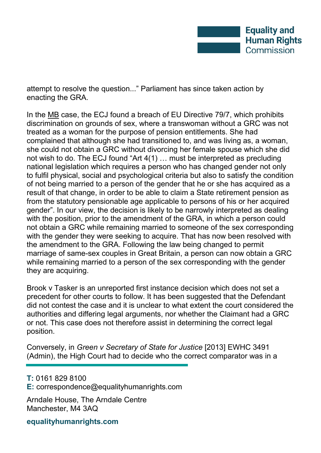

attempt to resolve the question..." Parliament has since taken action by enacting the GRA.

In the MB case, the ECJ found a breach of EU Directive 79/7, which prohibits discrimination on grounds of sex, where a transwoman without a GRC was not treated as a woman for the purpose of pension entitlements. She had complained that although she had transitioned to, and was living as, a woman, she could not obtain a GRC without divorcing her female spouse which she did not wish to do. The ECJ found "Art  $4(1)$  ... must be interpreted as precluding national legislation which requires a person who has changed gender not only to fulfil physical, social and psychological criteria but also to satisfy the condition of not being married to a person of the gender that he or she has acquired as a result of that change, in order to be able to claim a State retirement pension as from the statutory pensionable age applicable to persons of his or her acquired gender". In our view, the decision is likely to be narrowly interpreted as dealing with the position, prior to the amendment of the GRA, in which a person could not obtain a GRC while remaining married to someone of the sex corresponding with the gender they were seeking to acquire. That has now been resolved with the amendment to the GRA. Following the law being changed to permit marriage of same-sex couples in Great Britain, a person can now obtain a GRC while remaining married to a person of the sex corresponding with the gender they are acquiring.

Brook v Tasker is an unreported first instance decision which does not set a precedent for other courts to follow. It has been suggested that the Defendant did not contest the case and it is unclear to what extent the court considered the authorities and differing legal arguments, nor whether the Claimant had a GRC or not. This case does not therefore assist in determining the correct legal position.

Conversely, in *Green v Secretary of State for Justice* [2013] EWHC 3491 (Admin), the High Court had to decide who the correct comparator was in a

**T:** 0161 829 8100

**E:** correspondence@equalityhumanrights.com

Arndale House, The Arndale Centre Manchester, M4 3AQ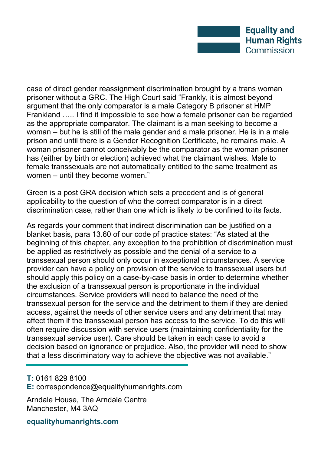

case of direct gender reassignment discrimination brought by a trans woman prisoner without a GRC. The High Court said "Frankly, it is almost beyond argument that the only comparator is a male Category B prisoner at HMP Frankland ..... I find it impossible to see how a female prisoner can be regarded as the appropriate comparator. The claimant is a man seeking to become a woman  $-$  but he is still of the male gender and a male prisoner. He is in a male prison and until there is a Gender Recognition Certificate, he remains male. A woman prisoner cannot conceivably be the comparator as the woman prisoner has (either by birth or election) achieved what the claimant wishes. Male to female transsexuals are not automatically entitled to the same treatment as women  $-$  until they become women."

Green is a post GRA decision which sets a precedent and is of general applicability to the question of who the correct comparator is in a direct discrimination case, rather than one which is likely to be confined to its facts.

As regards your comment that indirect discrimination can be justified on a blanket basis, para 13.60 of our code pf practice states: "As stated at the beginning of this chapter, any exception to the prohibition of discrimination must be applied as restrictively as possible and the denial of a service to a transsexual person should only occur in exceptional circumstances. A service provider can have a policy on provision of the service to transsexual users but should apply this policy on a case-by-case basis in order to determine whether the exclusion of a transsexual person is proportionate in the individual circumstances. Service providers will need to balance the need of the transsexual person for the service and the detriment to them if they are denied access, against the needs of other service users and any detriment that may affect them if the transsexual person has access to the service. To do this will often require discussion with service users (maintaining confidentiality for the transsexual service user). Care should be taken in each case to avoid a decision based on ignorance or prejudice. Also, the provider will need to show that a less discriminatory way to achieve the objective was not available."

**T:** 0161 829 8100

**E:** correspondence@equalityhumanrights.com

Arndale House, The Arndale Centre Manchester, M4 3AQ